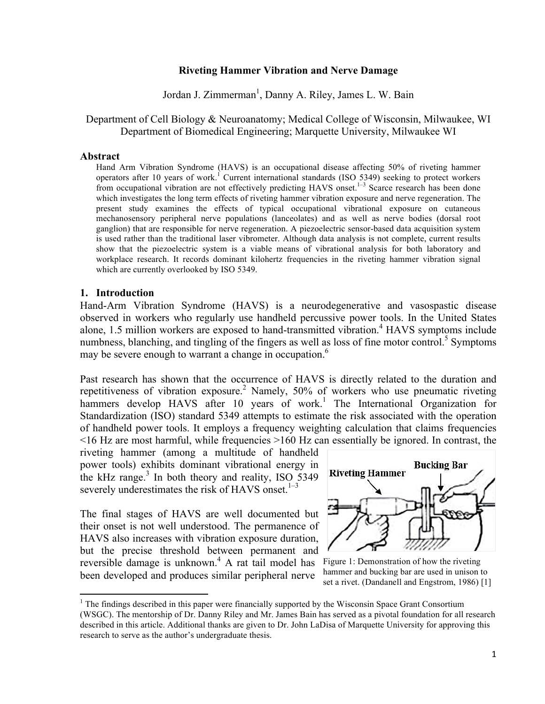### **Riveting Hammer Vibration and Nerve Damage**

Jordan J. Zimmerman<sup>1</sup>, Danny A. Riley, James L. W. Bain

### Department of Cell Biology & Neuroanatomy; Medical College of Wisconsin, Milwaukee, WI Department of Biomedical Engineering; Marquette University, Milwaukee WI

#### **Abstract**

Hand Arm Vibration Syndrome (HAVS) is an occupational disease affecting 50% of riveting hammer operators after 10 years of work.<sup>1</sup> Current international standards (ISO 5349) seeking to protect workers from occupational vibration are not effectively predicting HAVS onset.<sup>1–3</sup> Scarce research has been done which investigates the long term effects of riveting hammer vibration exposure and nerve regeneration. The present study examines the effects of typical occupational vibrational exposure on cutaneous mechanosensory peripheral nerve populations (lanceolates) and as well as nerve bodies (dorsal root ganglion) that are responsible for nerve regeneration. A piezoelectric sensor-based data acquisition system is used rather than the traditional laser vibrometer. Although data analysis is not complete, current results show that the piezoelectric system is a viable means of vibrational analysis for both laboratory and workplace research. It records dominant kilohertz frequencies in the riveting hammer vibration signal which are currently overlooked by ISO 5349.

### **1. Introduction**

Hand-Arm Vibration Syndrome (HAVS) is a neurodegenerative and vasospastic disease observed in workers who regularly use handheld percussive power tools. In the United States alone, 1.5 million workers are exposed to hand-transmitted vibration.<sup>4</sup> HAVS symptoms include numbness, blanching, and tingling of the fingers as well as loss of fine motor control.<sup>5</sup> Symptoms may be severe enough to warrant a change in occupation.<sup>6</sup>

Past research has shown that the occurrence of HAVS is directly related to the duration and repetitiveness of vibration exposure.<sup>2</sup> Namely, 50% of workers who use pneumatic riveting hammers develop HAVS after 10 years of work.<sup>1</sup> The International Organization for Standardization (ISO) standard 5349 attempts to estimate the risk associated with the operation of handheld power tools. It employs a frequency weighting calculation that claims frequencies <16 Hz are most harmful, while frequencies >160 Hz can essentially be ignored. In contrast, the

riveting hammer (among a multitude of handheld power tools) exhibits dominant vibrational energy in the kHz range.<sup>3</sup> In both theory and reality, ISO 5349 severely underestimates the risk of HAVS onset. $1-3$ 

reversible damage is unknown.<sup>4</sup> A rat tail model has Figure 1: Demonstration of how the riveting The final stages of HAVS are well documented but their onset is not well understood. The permanence of HAVS also increases with vibration exposure duration, but the precise threshold between permanent and been developed and produces similar peripheral nerve

<u> 1989 - Jan Stein Stein, fransk politiker (d. 1989)</u>



hammer and bucking bar are used in unison to set a rivet. (Dandanell and Engstrom, 1986) [1]

 $1$ <sup>1</sup> The findings described in this paper were financially supported by the Wisconsin Space Grant Consortium (WSGC). The mentorship of Dr. Danny Riley and Mr. James Bain has served as a pivotal foundation for all research described in this article. Additional thanks are given to Dr. John LaDisa of Marquette University for approving this research to serve as the author's undergraduate thesis.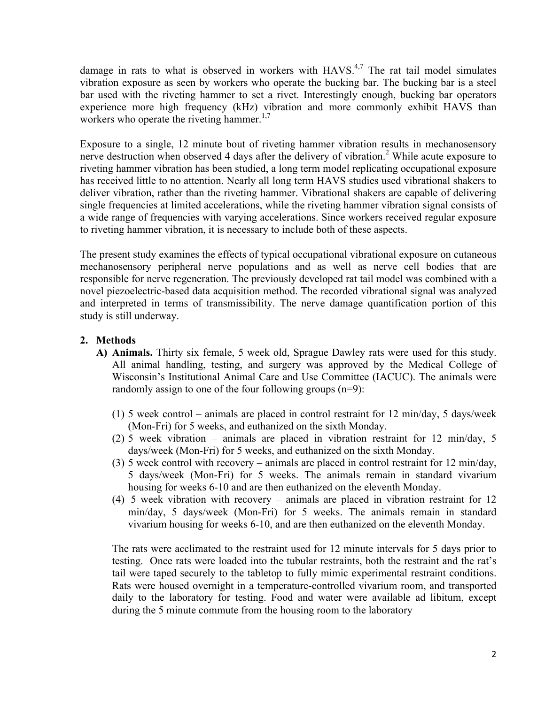damage in rats to what is observed in workers with  $HAVS<sup>4,7</sup>$  The rat tail model simulates vibration exposure as seen by workers who operate the bucking bar. The bucking bar is a steel bar used with the riveting hammer to set a rivet. Interestingly enough, bucking bar operators experience more high frequency (kHz) vibration and more commonly exhibit HAVS than workers who operate the riveting hammer.<sup>1,7</sup>

Exposure to a single, 12 minute bout of riveting hammer vibration results in mechanosensory nerve destruction when observed 4 days after the delivery of vibration.<sup>2</sup> While acute exposure to riveting hammer vibration has been studied, a long term model replicating occupational exposure has received little to no attention. Nearly all long term HAVS studies used vibrational shakers to deliver vibration, rather than the riveting hammer. Vibrational shakers are capable of delivering single frequencies at limited accelerations, while the riveting hammer vibration signal consists of a wide range of frequencies with varying accelerations. Since workers received regular exposure to riveting hammer vibration, it is necessary to include both of these aspects.

The present study examines the effects of typical occupational vibrational exposure on cutaneous mechanosensory peripheral nerve populations and as well as nerve cell bodies that are responsible for nerve regeneration. The previously developed rat tail model was combined with a novel piezoelectric-based data acquisition method. The recorded vibrational signal was analyzed and interpreted in terms of transmissibility. The nerve damage quantification portion of this study is still underway.

# **2. Methods**

- **A) Animals.** Thirty six female, 5 week old, Sprague Dawley rats were used for this study. All animal handling, testing, and surgery was approved by the Medical College of Wisconsin's Institutional Animal Care and Use Committee (IACUC). The animals were randomly assign to one of the four following groups (n=9):
	- (1) 5 week control animals are placed in control restraint for 12 min/day, 5 days/week (Mon-Fri) for 5 weeks, and euthanized on the sixth Monday.
	- (2) 5 week vibration animals are placed in vibration restraint for 12 min/day, 5 days/week (Mon-Fri) for 5 weeks, and euthanized on the sixth Monday.
	- (3) 5 week control with recovery animals are placed in control restraint for 12 min/day, 5 days/week (Mon-Fri) for 5 weeks. The animals remain in standard vivarium housing for weeks 6-10 and are then euthanized on the eleventh Monday.
	- (4) 5 week vibration with recovery animals are placed in vibration restraint for 12 min/day, 5 days/week (Mon-Fri) for 5 weeks. The animals remain in standard vivarium housing for weeks 6-10, and are then euthanized on the eleventh Monday.

The rats were acclimated to the restraint used for 12 minute intervals for 5 days prior to testing. Once rats were loaded into the tubular restraints, both the restraint and the rat's tail were taped securely to the tabletop to fully mimic experimental restraint conditions. Rats were housed overnight in a temperature-controlled vivarium room, and transported daily to the laboratory for testing. Food and water were available ad libitum, except during the 5 minute commute from the housing room to the laboratory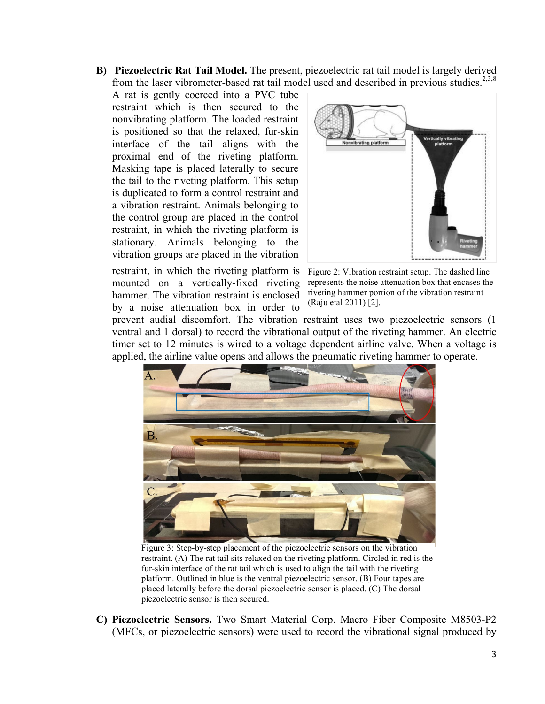**B) Piezoelectric Rat Tail Model.** The present, piezoelectric rat tail model is largely derived from the laser vibrometer-based rat tail model used and described in previous studies.<sup>2,3,8</sup>

A rat is gently coerced into a PVC tube restraint which is then secured to the nonvibrating platform. The loaded restraint is positioned so that the relaxed, fur-skin interface of the tail aligns with the proximal end of the riveting platform. Masking tape is placed laterally to secure the tail to the riveting platform. This setup is duplicated to form a control restraint and a vibration restraint. Animals belonging to the control group are placed in the control restraint, in which the riveting platform is stationary. Animals belonging to the vibration groups are placed in the vibration

restraint, in which the riveting platform is mounted on a vertically-fixed riveting hammer. The vibration restraint is enclosed by a noise attenuation box in order to



Figure 2: Vibration restraint setup. The dashed line represents the noise attenuation box that encases the riveting hammer portion of the vibration restraint (Raju etal 2011) [2].

prevent audial discomfort. The vibration restraint uses two piezoelectric sensors (1 ventral and 1 dorsal) to record the vibrational output of the riveting hammer. An electric timer set to 12 minutes is wired to a voltage dependent airline valve. When a voltage is applied, the airline value opens and allows the pneumatic riveting hammer to operate.



Figure 3: Step-by-step placement of the piezoelectric sensors on the vibration restraint. (A) The rat tail sits relaxed on the riveting platform. Circled in red is the fur-skin interface of the rat tail which is used to align the tail with the riveting platform. Outlined in blue is the ventral piezoelectric sensor. (B) Four tapes are placed laterally before the dorsal piezoelectric sensor is placed. (C) The dorsal piezoelectric sensor is then secured.

**C) Piezoelectric Sensors.** Two Smart Material Corp. Macro Fiber Composite M8503-P2 (MFCs, or piezoelectric sensors) were used to record the vibrational signal produced by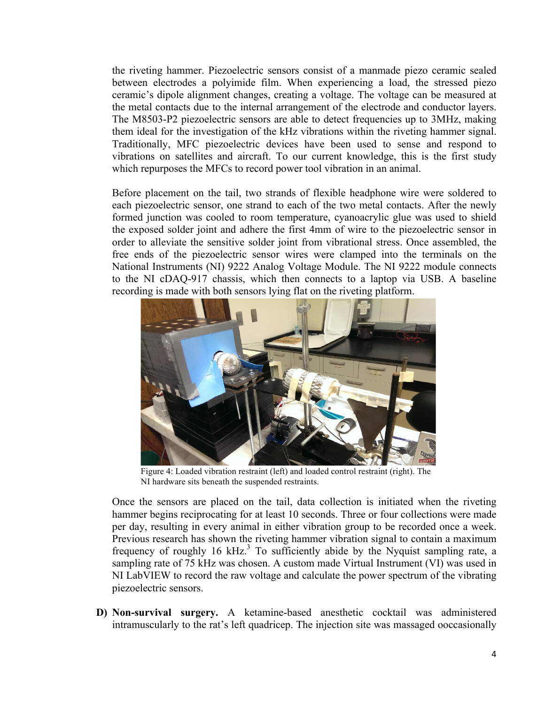the riveting hammer. Piezoelectric sensors consist of a manmade piezo ceramic sealed between electrodes a polyimide film. When experiencing a load, the stressed piezo ceramic's dipole alignment changes, creating a voltage. The voltage can be measured at the metal contacts due to the internal arrangement of the electrode and conductor layers. The M8503-P2 piezoelectric sensors are able to detect frequencies up to 3MHz, making them ideal for the investigation of the kHz vibrations within the riveting hammer signal. Traditionally, MFC piezoelectric devices have been used to sense and respond to vibrations on satellites and aircraft. To our current knowledge, this is the first study which repurposes the MFCs to record power tool vibration in an animal.

Before placement on the tail, two strands of flexible headphone wire were soldered to each piezoelectric sensor, one strand to each of the two metal contacts. After the newly formed junction was cooled to room temperature, cyanoacrylic glue was used to shield the exposed solder joint and adhere the first 4mm of wire to the piezoelectric sensor in order to alleviate the sensitive solder joint from vibrational stress. Once assembled, the free ends of the piezoelectric sensor wires were clamped into the terminals on the National Instruments (NI) 9222 Analog Voltage Module. The NI 9222 module connects to the NI cDAQ-917 chassis, which then connects to a laptop via USB. A baseline recording is made with both sensors lying flat on the riveting platform.



Figure 4: Loaded vibration restraint (left) and loaded control restraint (right). The NI hardware sits beneath the suspended restraints.

Once the sensors are placed on the tail, data collection is initiated when the riveting hammer begins reciprocating for at least 10 seconds. Three or four collections were made per day, resulting in every animal in either vibration group to be recorded once a week. Previous research has shown the riveting hammer vibration signal to contain a maximum frequency of roughly 16 kHz.<sup>3</sup> To sufficiently abide by the Nyquist sampling rate, a sampling rate of 75 kHz was chosen. A custom made Virtual Instrument (VI) was used in NI LabVIEW to record the raw voltage and calculate the power spectrum of the vibrating piezoelectric sensors.

**D) Non-survival surgery.** A ketamine-based anesthetic cocktail was administered intramuscularly to the rat's left quadricep. The injection site was massaged ooccasionally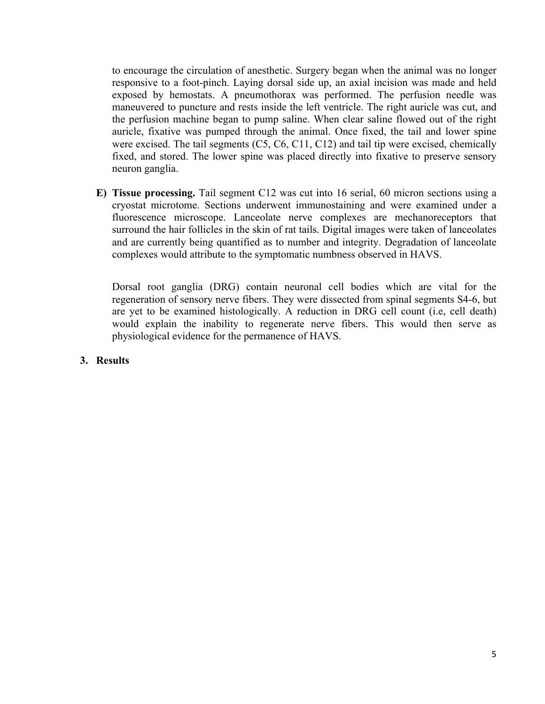to encourage the circulation of anesthetic. Surgery began when the animal was no longer responsive to a foot-pinch. Laying dorsal side up, an axial incision was made and held exposed by hemostats. A pneumothorax was performed. The perfusion needle was maneuvered to puncture and rests inside the left ventricle. The right auricle was cut, and the perfusion machine began to pump saline. When clear saline flowed out of the right auricle, fixative was pumped through the animal. Once fixed, the tail and lower spine were excised. The tail segments (C5, C6, C11, C12) and tail tip were excised, chemically fixed, and stored. The lower spine was placed directly into fixative to preserve sensory neuron ganglia.

**E) Tissue processing.** Tail segment C12 was cut into 16 serial, 60 micron sections using a cryostat microtome. Sections underwent immunostaining and were examined under a fluorescence microscope. Lanceolate nerve complexes are mechanoreceptors that surround the hair follicles in the skin of rat tails. Digital images were taken of lanceolates and are currently being quantified as to number and integrity. Degradation of lanceolate complexes would attribute to the symptomatic numbness observed in HAVS.

Dorsal root ganglia (DRG) contain neuronal cell bodies which are vital for the regeneration of sensory nerve fibers. They were dissected from spinal segments S4-6, but are yet to be examined histologically. A reduction in DRG cell count (i.e, cell death) would explain the inability to regenerate nerve fibers. This would then serve as physiological evidence for the permanence of HAVS.

### **3. Results**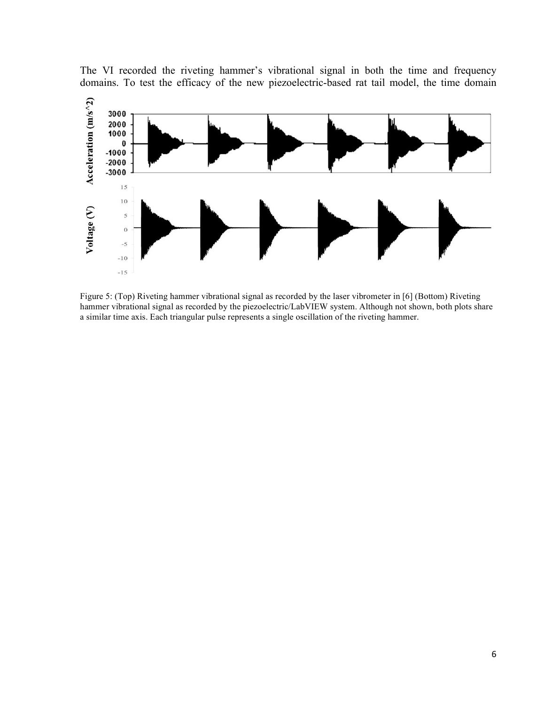

The VI recorded the riveting hammer's vibrational signal in both the time and frequency domains. To test the efficacy of the new piezoelectric-based rat tail model, the time domain

Figure 5: (Top) Riveting hammer vibrational signal as recorded by the laser vibrometer in [6] (Bottom) Riveting hammer vibrational signal as recorded by the piezoelectric/LabVIEW system. Although not shown, both plots share a similar time axis. Each triangular pulse represents a single oscillation of the riveting hammer.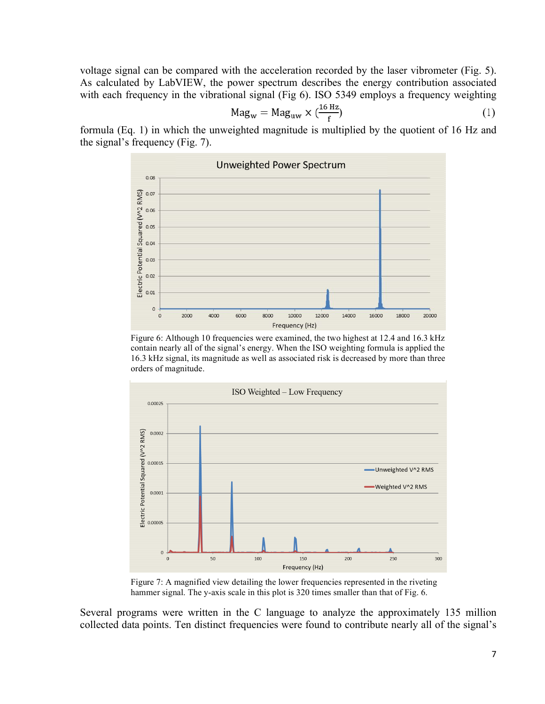voltage signal can be compared with the acceleration recorded by the laser vibrometer (Fig. 5). As calculated by LabVIEW, the power spectrum describes the energy contribution associated with each frequency in the vibrational signal (Fig 6). ISO 5349 employs a frequency weighting

$$
Mag_w = Mag_{uw} \times (\frac{16 Hz}{f})
$$
 (1)

formula (Eq. 1) in which the unweighted magnitude is multiplied by the quotient of 16 Hz and the signal's frequency (Fig. 7).



Figure 6: Although 10 frequencies were examined, the two highest at 12.4 and 16.3 kHz contain nearly all of the signal's energy. When the ISO weighting formula is applied the 16.3 kHz signal, its magnitude as well as associated risk is decreased by more than three orders of magnitude.



Figure 7: A magnified view detailing the lower frequencies represented in the riveting hammer signal. The y-axis scale in this plot is 320 times smaller than that of Fig. 6.

Several programs were written in the C language to analyze the approximately 135 million collected data points. Ten distinct frequencies were found to contribute nearly all of the signal's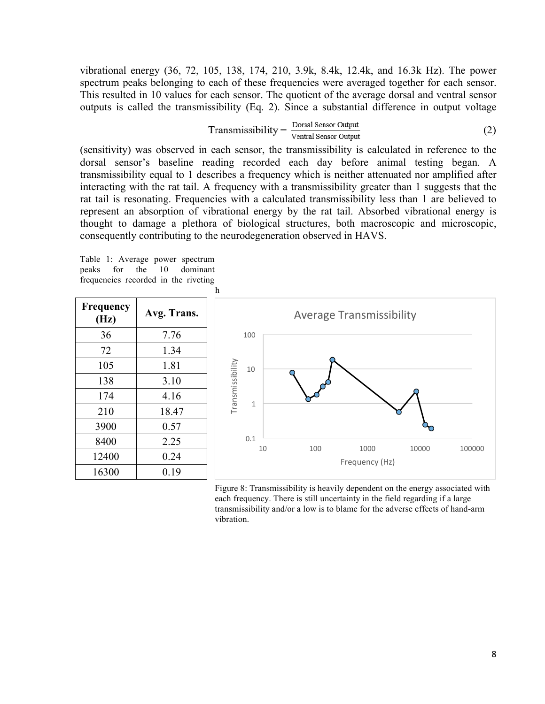vibrational energy (36, 72, 105, 138, 174, 210, 3.9k, 8.4k, 12.4k, and 16.3k Hz). The power spectrum peaks belonging to each of these frequencies were averaged together for each sensor. This resulted in 10 values for each sensor. The quotient of the average dorsal and ventral sensor outputs is called the transmissibility (Eq. 2). Since a substantial difference in output voltage

Transmissibility = 
$$
\frac{\text{Dorsal Sensor Output}}{\text{Vertical Sensor Output}}
$$
 (2)

(sensitivity) was observed in each sensor, the transmissibility is calculated in reference to the dorsal sensor's baseline reading recorded each day before animal testing began. A transmissibility equal to 1 describes a frequency which is neither attenuated nor amplified after interacting with the rat tail. A frequency with a transmissibility greater than 1 suggests that the rat tail is resonating. Frequencies with a calculated transmissibility less than 1 are believed to represent an absorption of vibrational energy by the rat tail. Absorbed vibrational energy is thought to damage a plethora of biological structures, both macroscopic and microscopic, consequently contributing to the neurodegeneration observed in HAVS.

Table 1: Average power spectrum peaks for the 10 dominant frequencies recorded in the riveting



Figure 8: Transmissibility is heavily dependent on the energy associated with each frequency. There is still uncertainty in the field regarding if a large transmissibility and/or a low is to blame for the adverse effects of hand-arm vibration.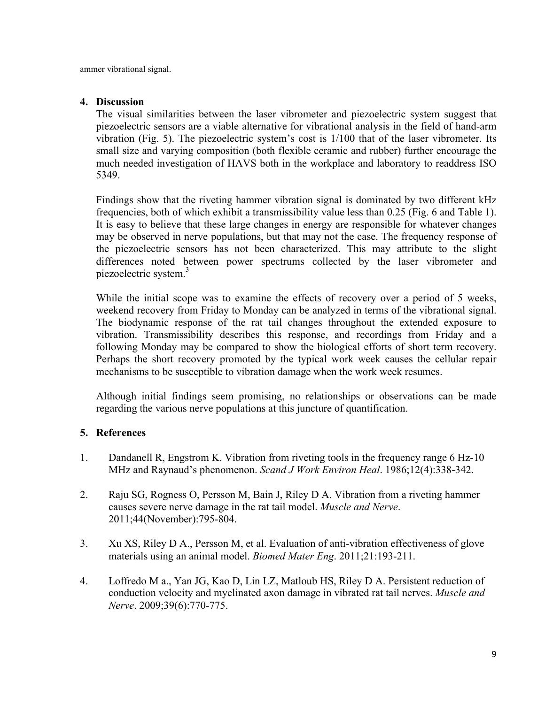ammer vibrational signal.

## **4. Discussion**

The visual similarities between the laser vibrometer and piezoelectric system suggest that piezoelectric sensors are a viable alternative for vibrational analysis in the field of hand-arm vibration (Fig. 5). The piezoelectric system's cost is 1/100 that of the laser vibrometer. Its small size and varying composition (both flexible ceramic and rubber) further encourage the much needed investigation of HAVS both in the workplace and laboratory to readdress ISO 5349.

Findings show that the riveting hammer vibration signal is dominated by two different kHz frequencies, both of which exhibit a transmissibility value less than 0.25 (Fig. 6 and Table 1). It is easy to believe that these large changes in energy are responsible for whatever changes may be observed in nerve populations, but that may not the case. The frequency response of the piezoelectric sensors has not been characterized. This may attribute to the slight differences noted between power spectrums collected by the laser vibrometer and piezoelectric system.<sup>3</sup>

While the initial scope was to examine the effects of recovery over a period of 5 weeks, weekend recovery from Friday to Monday can be analyzed in terms of the vibrational signal. The biodynamic response of the rat tail changes throughout the extended exposure to vibration. Transmissibility describes this response, and recordings from Friday and a following Monday may be compared to show the biological efforts of short term recovery. Perhaps the short recovery promoted by the typical work week causes the cellular repair mechanisms to be susceptible to vibration damage when the work week resumes.

Although initial findings seem promising, no relationships or observations can be made regarding the various nerve populations at this juncture of quantification.

## **5. References**

- 1. Dandanell R, Engstrom K. Vibration from riveting tools in the frequency range 6 Hz-10 MHz and Raynaud's phenomenon. *Scand J Work Environ Heal*. 1986;12(4):338-342.
- 2. Raju SG, Rogness O, Persson M, Bain J, Riley D A. Vibration from a riveting hammer causes severe nerve damage in the rat tail model. *Muscle and Nerve*. 2011;44(November):795-804.
- 3. Xu XS, Riley D A., Persson M, et al. Evaluation of anti-vibration effectiveness of glove materials using an animal model. *Biomed Mater Eng*. 2011;21:193-211.
- 4. Loffredo M a., Yan JG, Kao D, Lin LZ, Matloub HS, Riley D A. Persistent reduction of conduction velocity and myelinated axon damage in vibrated rat tail nerves. *Muscle and Nerve*. 2009;39(6):770-775.